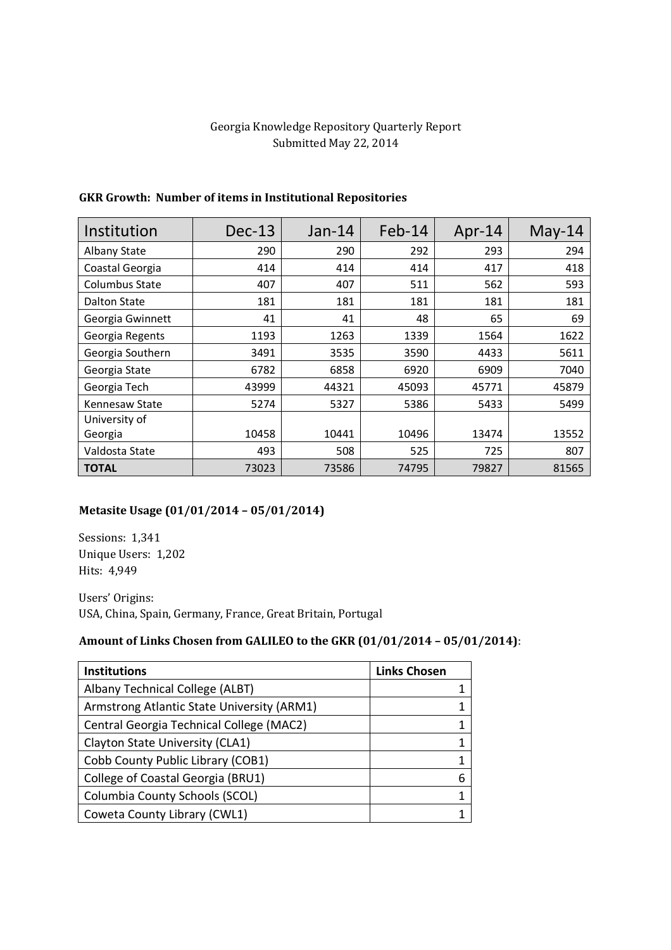## Georgia Knowledge Repository Quarterly Report Submitted May 22, 2014

| Institution           | $Dec-13$ | $Jan-14$ | $Feb-14$ | Apr-14 | $May-14$ |
|-----------------------|----------|----------|----------|--------|----------|
| Albany State          | 290      | 290      | 292      | 293    | 294      |
| Coastal Georgia       | 414      | 414      | 414      | 417    | 418      |
| <b>Columbus State</b> | 407      | 407      | 511      | 562    | 593      |
| Dalton State          | 181      | 181      | 181      | 181    | 181      |
| Georgia Gwinnett      | 41       | 41       | 48       | 65     | 69       |
| Georgia Regents       | 1193     | 1263     | 1339     | 1564   | 1622     |
| Georgia Southern      | 3491     | 3535     | 3590     | 4433   | 5611     |
| Georgia State         | 6782     | 6858     | 6920     | 6909   | 7040     |
| Georgia Tech          | 43999    | 44321    | 45093    | 45771  | 45879    |
| Kennesaw State        | 5274     | 5327     | 5386     | 5433   | 5499     |
| University of         |          |          |          |        |          |
| Georgia               | 10458    | 10441    | 10496    | 13474  | 13552    |
| Valdosta State        | 493      | 508      | 525      | 725    | 807      |
| <b>TOTAL</b>          | 73023    | 73586    | 74795    | 79827  | 81565    |

## **GKR Growth: Number of items in Institutional Repositories**

## **Metasite Usage (01/01/2014 – 05/01/2014)**

Sessions: 1,341 Unique Users: 1,202 Hits: 4,949

Users' Origins: USA, China, Spain, Germany, France, Great Britain, Portugal

## **Amount of Links Chosen from GALILEO to the GKR (01/01/2014 – 05/01/2014)**:

| <b>Institutions</b>                        | <b>Links Chosen</b> |
|--------------------------------------------|---------------------|
| Albany Technical College (ALBT)            |                     |
| Armstrong Atlantic State University (ARM1) |                     |
| Central Georgia Technical College (MAC2)   |                     |
| Clayton State University (CLA1)            |                     |
| Cobb County Public Library (COB1)          |                     |
| College of Coastal Georgia (BRU1)          |                     |
| Columbia County Schools (SCOL)             |                     |
| Coweta County Library (CWL1)               |                     |